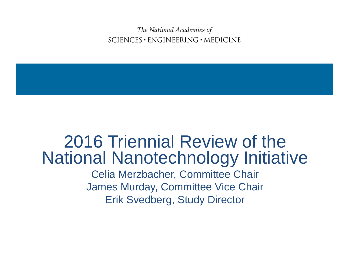The National Academies of  $SCIENCES \cdot ENGINEERING \cdot MEDICINE$ 

### 2016 Triennial Review of the National Nanotechnology Initiative Celia Merzbacher, Committee Chair

James Murday, Committee Vice Chair Erik Svedberg, Study Director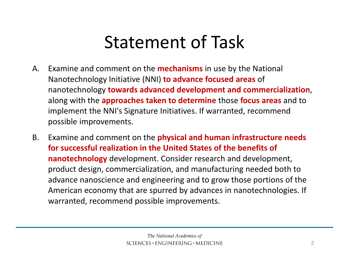### Statement of Task

- A. Examine and comment on the **mechanisms** in use by the National Nanotechnology Initiative (NNI) **to advance focused areas** of nanotechnology **towards advanced development and commercialization**, along with the **approaches taken to determine** those **focus areas** and to implement the NNI's Signature Initiatives. If warranted, recommend possible improvements.
- B. Examine and comment on the **physical and human infrastructure needs for successful realization in the United States of the benefits of nanotechnology** development. Consider research and development, product design, commercialization, and manufacturing needed both to advance nanoscience and engineering and to grow those portions of the American economy that are spurred by advances in nanotechnologies. If warranted, recommend possible improvements.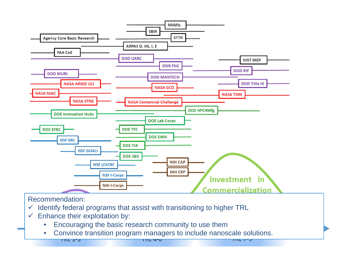

Recommendation:

- $\checkmark$  Identify federal programs that assist with transitioning to higher TRL
- $\checkmark$  Enhance their exploitation by:

**TIVE ITS** 

- $\bullet$ Encouraging the basic research community to use them
- $\bullet$ Convince transition program managers to include nanoscale solutions.

**INL 4-0**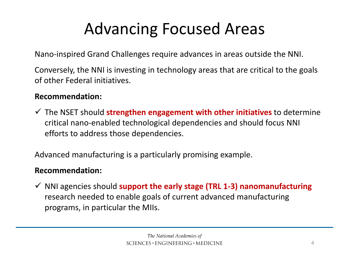### Advancing Focused Areas

Nano‐inspired Grand Challenges require advances in areas outside the NNI.

Conversely, the NNI is investing in technology areas that are critical to the goals of other Federal initiatives.

#### **Recommendation:**

 The NSET should **strengthen engagement with other initiatives** to determine critical nano‐enabled technological dependencies and should focus NNI efforts to address those dependencies.

Advanced manufacturing is <sup>a</sup> particularly promising example.

#### **Recommendation:**

 NNI agencies should **support the early stage (TRL 1‐3) nanomanufacturing** research needed to enable goals of current advanced manufacturing programs, in particular the MIIs.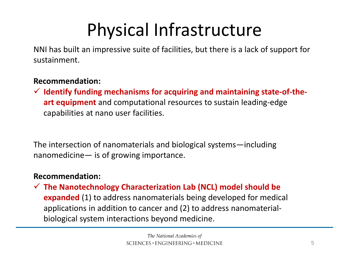# Physical Infrastructure

NNI has built an impressive suite of facilities, but there is <sup>a</sup> lack of support for sustainment.

#### **Recommendation:**

 **Identify funding mechanisms for acquiring and maintaining state‐of‐the‐ art equipment** and computational resources to sustain leading‐edge capabilities at nano user facilities.

The intersection of nanomaterials and biological systems—including nanomedicine— is of growing importance.

#### **Recommendation:**

 **The Nanotechnology Characterization Lab (NCL) model should be expanded** (1) to address nanomaterials being developed for medical applications in addition to cancer and (2) to address nanomaterial‐ biological system interactions beyond medicine.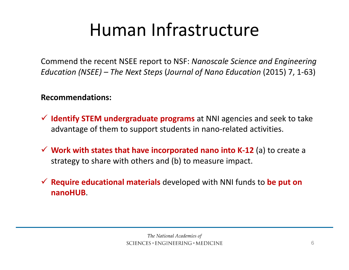## Human Infrastructure

Commend the recent NSEE report to NSF: *Nanoscale Science and Engineering Education (NSEE) – The Next Steps* (*Journal of Nano Education* (2015) 7, 1‐63)

#### **Recommendations:**

- **Identify STEM undergraduate programs** at NNI agencies and seek to take advantage of them to support students in nano‐related activities.
- **Work with states that have incorporated nano into K‐12** (a) to create <sup>a</sup> strategy to share with others and (b) to measure impact.
- **Require educational materials** developed with NNI funds to **be put on nanoHUB**.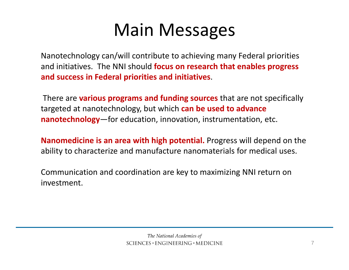### Main Messages

Nanotechnology can/will contribute to achieving many Federal priorities and initiatives. The NNI should **focus on research that enables progress and success in Federal priorities and initiatives**.

There are **various programs and funding sources** that are not specifically targeted at nanotechnology, but which **can be used to advance nanotechnology**—for education, innovation, instrumentation, etc.

**Nanomedicine is an area with high potential.** Progress will depend on the ability to characterize and manufacture nanomaterials for medical uses.

Communication and coordination are key to maximizing NNI return on investment.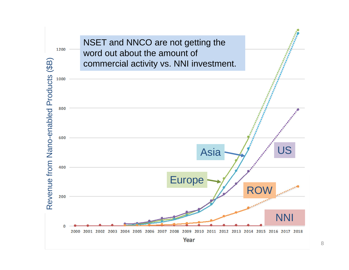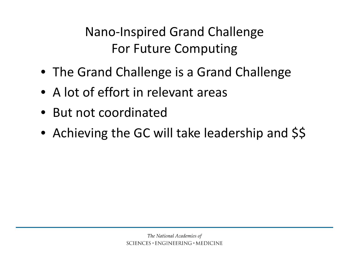Nano‐Inspired Grand Challenge For Future Computing

- The Grand Challenge is <sup>a</sup> Grand Challenge
- A lot of effort in relevant areas
- But not coordinated
- Achieving the GC will take leadership and \$\$